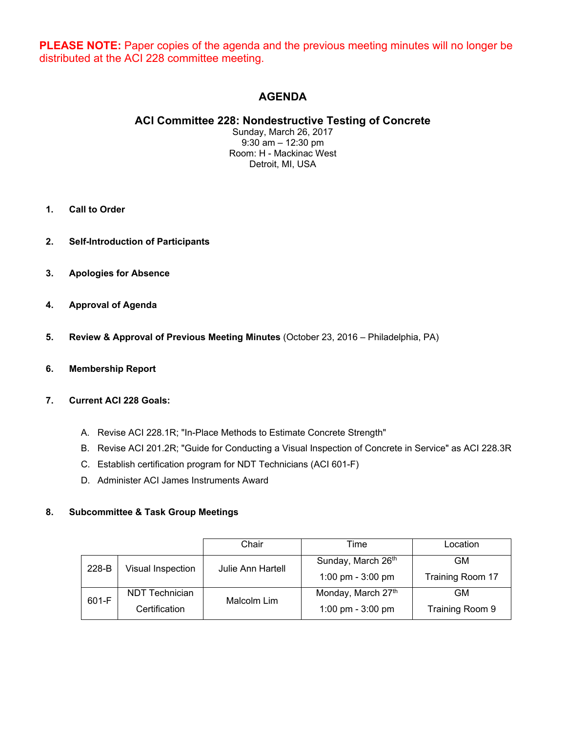**PLEASE NOTE:** Paper copies of the agenda and the previous meeting minutes will no longer be distributed at the ACI 228 committee meeting.

# **AGENDA**

# **ACI Committee 228: Nondestructive Testing of Concrete**

Sunday, March 26, 2017 9:30 am – 12:30 pm Room: H - Mackinac West Detroit, MI, USA

- **1. Call to Order**
- **2. Self-Introduction of Participants**
- **3. Apologies for Absence**
- **4. Approval of Agenda**
- **5. Review & Approval of Previous Meeting Minutes** (October 23, 2016 Philadelphia, PA)
- **6. Membership Report**

#### **7. Current ACI 228 Goals:**

- A. Revise ACI 228.1R; "In-Place Methods to Estimate Concrete Strength"
- B. Revise ACI 201.2R; "Guide for Conducting a Visual Inspection of Concrete in Service" as ACI 228.3R
- C. Establish certification program for NDT Technicians (ACI 601-F)
- D. Administer ACI James Instruments Award

#### **8. Subcommittee & Task Group Meetings**

|       |                   | Chair                    | Time                | Location         |
|-------|-------------------|--------------------------|---------------------|------------------|
| 228-B | Visual Inspection | <b>Julie Ann Hartell</b> | Sunday, March 26th  | <b>GM</b>        |
|       |                   |                          | 1:00 pm - $3:00$ pm | Training Room 17 |
| 601-F | NDT Technician    | Malcolm Lim              | Monday, March 27th  | <b>GM</b>        |
|       | Certification     |                          | 1:00 pm - $3:00$ pm | Training Room 9  |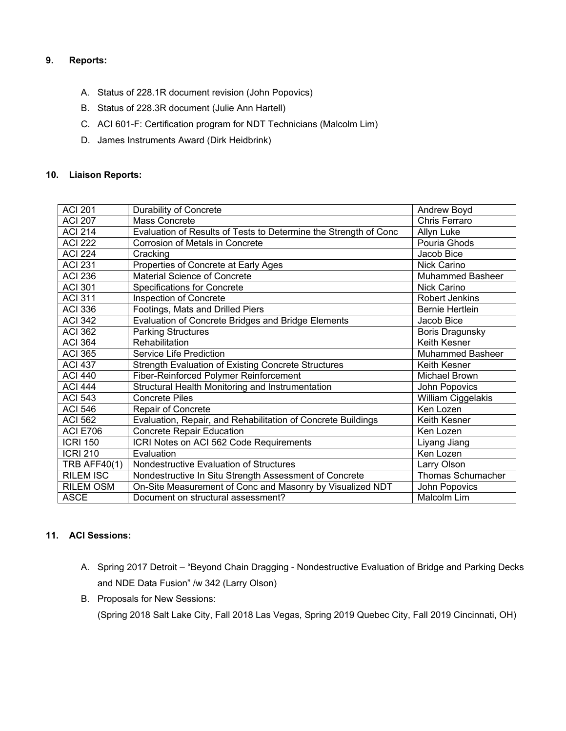## **9. Reports:**

- A. Status of 228.1R document revision (John Popovics)
- B. Status of 228.3R document (Julie Ann Hartell)
- C. ACI 601-F: Certification program for NDT Technicians (Malcolm Lim)
- D. James Instruments Award (Dirk Heidbrink)

#### **10. Liaison Reports:**

| <b>ACI 201</b>      | Durability of Concrete                                           | Andrew Boyd             |
|---------------------|------------------------------------------------------------------|-------------------------|
| <b>ACI 207</b>      | Mass Concrete                                                    | Chris Ferraro           |
| <b>ACI 214</b>      | Evaluation of Results of Tests to Determine the Strength of Conc | Allyn Luke              |
| <b>ACI 222</b>      | Corrosion of Metals in Concrete                                  | Pouria Ghods            |
| <b>ACI 224</b>      | Cracking                                                         | Jacob Bice              |
| <b>ACI 231</b>      | Properties of Concrete at Early Ages                             | Nick Carino             |
| <b>ACI 236</b>      | <b>Material Science of Concrete</b>                              | <b>Muhammed Basheer</b> |
| <b>ACI 301</b>      | <b>Specifications for Concrete</b>                               | Nick Carino             |
| <b>ACI 311</b>      | Inspection of Concrete                                           | <b>Robert Jenkins</b>   |
| <b>ACI 336</b>      | Footings, Mats and Drilled Piers                                 | <b>Bernie Hertlein</b>  |
| <b>ACI 342</b>      | <b>Evaluation of Concrete Bridges and Bridge Elements</b>        | Jacob Bice              |
| <b>ACI 362</b>      | Parking Structures                                               | <b>Boris Dragunsky</b>  |
| <b>ACI 364</b>      | Rehabilitation                                                   | Keith Kesner            |
| <b>ACI 365</b>      | Service Life Prediction                                          | <b>Muhammed Basheer</b> |
| <b>ACI 437</b>      | <b>Strength Evaluation of Existing Concrete Structures</b>       | Keith Kesner            |
| <b>ACI 440</b>      | Fiber-Reinforced Polymer Reinforcement                           | Michael Brown           |
| <b>ACI 444</b>      | Structural Health Monitoring and Instrumentation                 | John Popovics           |
| <b>ACI 543</b>      | <b>Concrete Piles</b>                                            | William Ciggelakis      |
| <b>ACI 546</b>      | Repair of Concrete                                               | Ken Lozen               |
| <b>ACI 562</b>      | Evaluation, Repair, and Rehabilitation of Concrete Buildings     | Keith Kesner            |
| <b>ACI E706</b>     | <b>Concrete Repair Education</b>                                 | Ken Lozen               |
| <b>ICRI 150</b>     | ICRI Notes on ACI 562 Code Requirements                          | Liyang Jiang            |
| <b>ICRI 210</b>     | Evaluation                                                       | Ken Lozen               |
| <b>TRB AFF40(1)</b> | Nondestructive Evaluation of Structures                          | Larry Olson             |
| <b>RILEM ISC</b>    | Nondestructive In Situ Strength Assessment of Concrete           | Thomas Schumacher       |
| <b>RILEM OSM</b>    | On-Site Measurement of Conc and Masonry by Visualized NDT        | John Popovics           |
| <b>ASCE</b>         | Document on structural assessment?                               | Malcolm Lim             |

#### **11. ACI Sessions:**

- A. Spring 2017 Detroit "Beyond Chain Dragging Nondestructive Evaluation of Bridge and Parking Decks and NDE Data Fusion" /w 342 (Larry Olson)
- B. Proposals for New Sessions:

(Spring 2018 Salt Lake City, Fall 2018 Las Vegas, Spring 2019 Quebec City, Fall 2019 Cincinnati, OH)